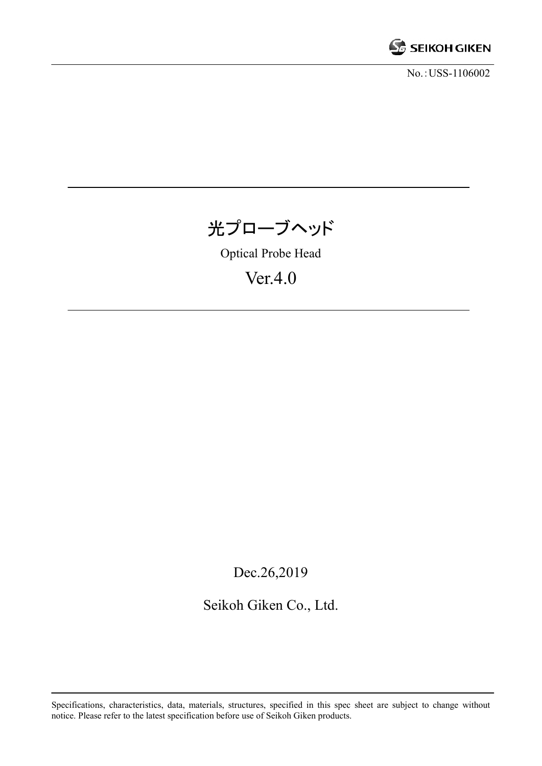

No.:USS-1106002



Optical Probe Head

Ver.4.0

Dec.26,2019

Seikoh Giken Co., Ltd.

Specifications, characteristics, data, materials, structures, specified in this spec sheet are subject to change without notice. Please refer to the latest specification before use of Seikoh Giken products.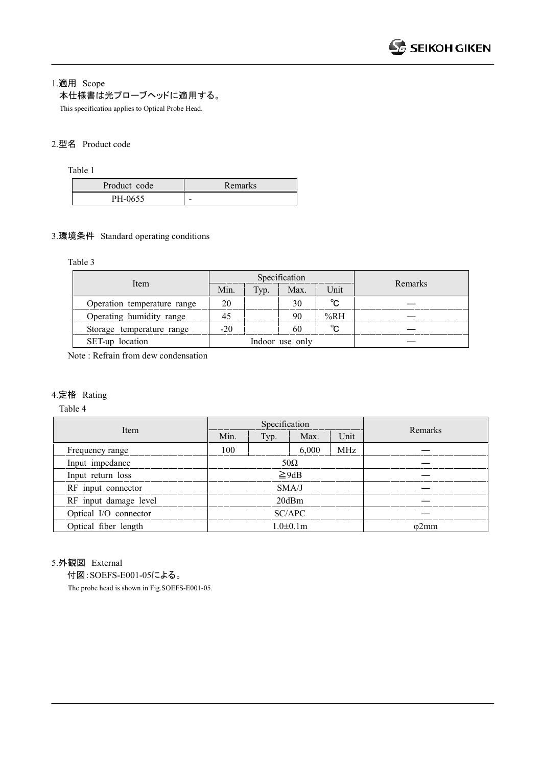1.適用 Scope

## 本仕様書は光プローブヘッドに適用する。

This specification applies to Optical Probe Head.

#### 2.型名 Product code

Table 1

| Product code | Remarks |
|--------------|---------|
| PH-0655      | -       |

### 3.環境条件 Standard operating conditions

Table 3

|                             | Specification   |      |      |              |         |
|-----------------------------|-----------------|------|------|--------------|---------|
| Item                        | Min.            | Typ. | Max. | Unit         | Remarks |
| Operation temperature range | 20              |      | 30   | $^{\circ}$ C |         |
| Operating humidity range    | 45              |      | 90   | %RH          |         |
| Storage temperature range   | $-20$           |      | 60   | $^{\circ}$ C |         |
| SET-up location             | Indoor use only |      |      |              |         |

Note : Refrain from dew condensation

#### 4.定格 Rating

Table 4

| Item                  | Specification   |      |       |              |         |
|-----------------------|-----------------|------|-------|--------------|---------|
|                       | Min.            | Typ. | Max.  | Unit         | Remarks |
| Frequency range       | 100             |      | 6,000 | MHz          |         |
| Input impedance       | $50\Omega$      |      |       |              |         |
| Input return loss     | $\geq$ 9dB      |      |       |              |         |
| RF input connector    | SMA/J           |      |       |              |         |
| RF input damage level | 20dBm           |      |       |              |         |
| Optical I/O connector | SC/APC          |      |       |              |         |
| Optical fiber length  | $1.0 \pm 0.1$ m |      |       | $\omega$ 2mm |         |

# 5.外観図 External

付図:SOEFS-E001-05による。

The probe head is shown in Fig.SOEFS-E001-05.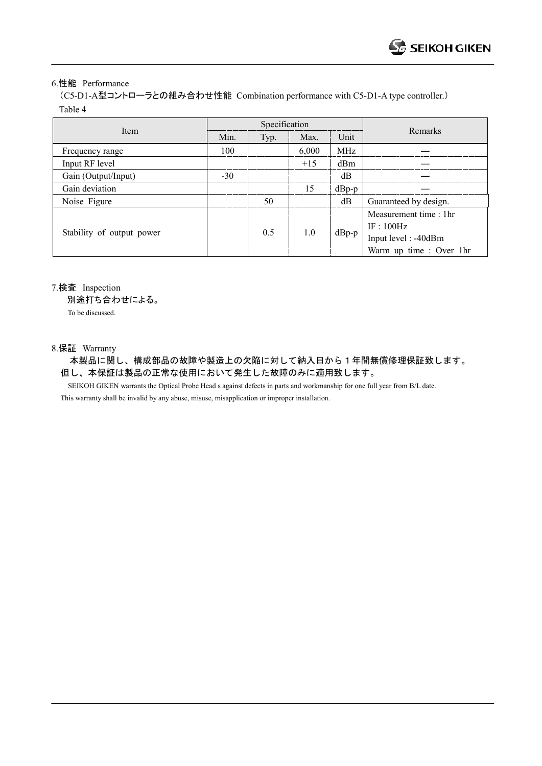#### 6.性能 Performance

(C5-D1-A型コントローラとの組み合わせ性能 Combination performance with C5-D1-A type controller.) Table 4

| Item                      | Specification |      |       |         |                         |
|---------------------------|---------------|------|-------|---------|-------------------------|
|                           | Min.          | Typ. | Max.  | Unit    | Remarks                 |
| Frequency range           | 100           |      | 6,000 | MHz     |                         |
| Input RF level            |               |      | $+15$ | dBm     |                         |
| Gain (Output/Input)       | $-30$         |      |       | dB      |                         |
| Gain deviation            |               |      | 15    | $dBp-p$ |                         |
| Noise Figure              |               | 50   |       | dB      | Guaranteed by design.   |
| Stability of output power |               | 0.5  | 1.0   | $dBp-p$ | Measurement time: 1hr   |
|                           |               |      |       |         | IF:100Hz                |
|                           |               |      |       |         | Input level: -40dBm     |
|                           |               |      |       |         | Warm up time : Over 1hr |

7.検査 Inspection

別途打ち合わせによる。

To be discussed.

### 8.保証 Warranty

本製品に関し、構成部品の故障や製造上の欠陥に対して納入日から1年間無償修理保証致します。 但し、本保証は製品の正常な使用において発生した故障のみに適用致します。

 SEIKOH GIKEN warrants the Optical Probe Head s against defects in parts and workmanship for one full year from B/L date. This warranty shall be invalid by any abuse, misuse, misapplication or improper installation.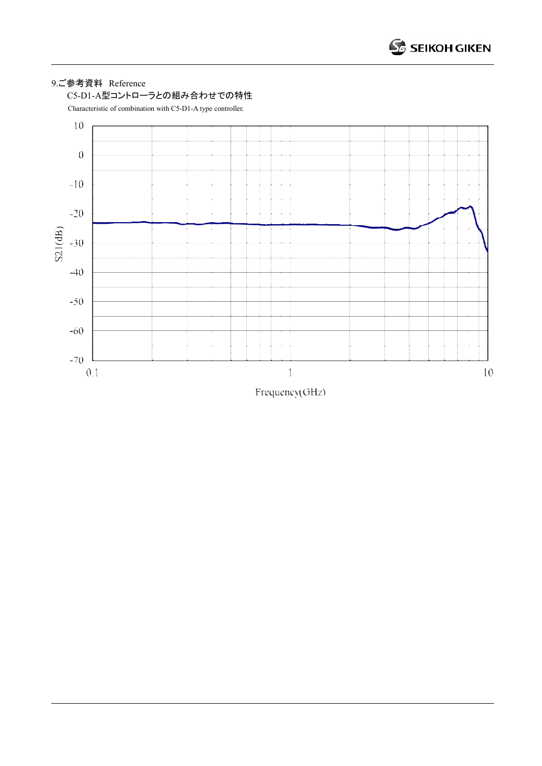# 9.ご参考資料 Reference



Characteristic of combination with C5-D1-A type controller.